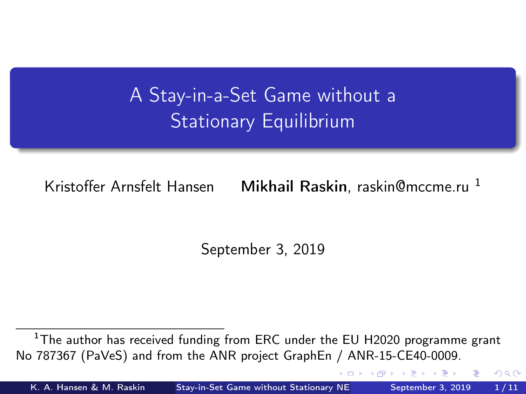<span id="page-0-0"></span>A Stay-in-a-Set Game without a Stationary Equilibrium

Kristoffer Arnsfelt Hansen Mikhail Raskin, raskin@mccme.ru <sup>1</sup>

September 3, 2019

<sup>1</sup>The author has received funding from ERC under the EU H2020 programme grant No 787367 (PaVeS) and from the ANR project GraphEn / ANR-15-CE40-0009.

K. A. Hansen & M. Raskin [Stay-in-Set Game without Stationary NE](#page-10-0) September 3, 2019 1/11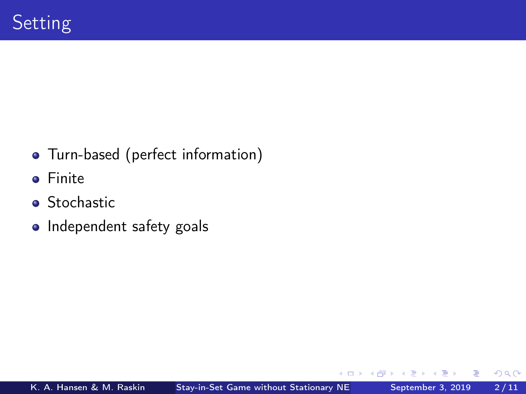- Turn-based (perfect information)
- **o** Finite
- **•** Stochastic
- Independent safety goals

€⊡

 $QQ$ 

э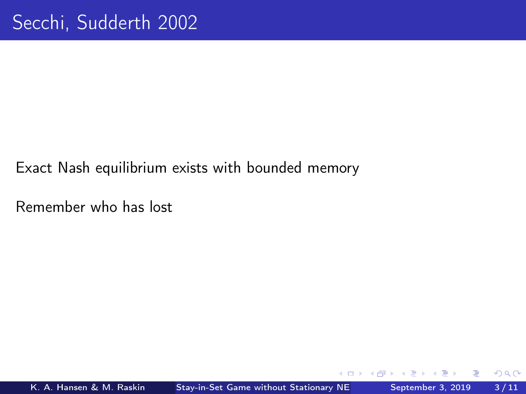## Exact Nash equilibrium exists with bounded memory

Remember who has lost

€⊡

 $QQ$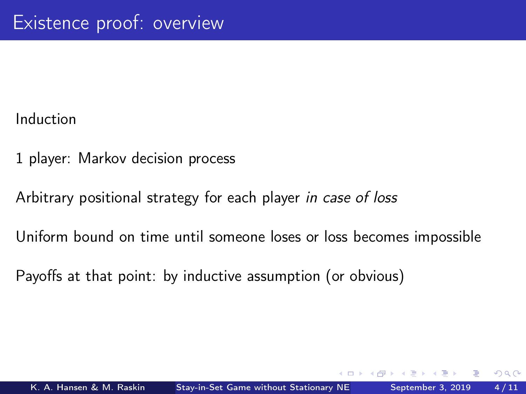Induction

- 1 player: Markov decision process
- Arbitrary positional strategy for each player in case of loss
- Uniform bound on time until someone loses or loss becomes impossible
- Payoffs at that point: by inductive assumption (or obvious)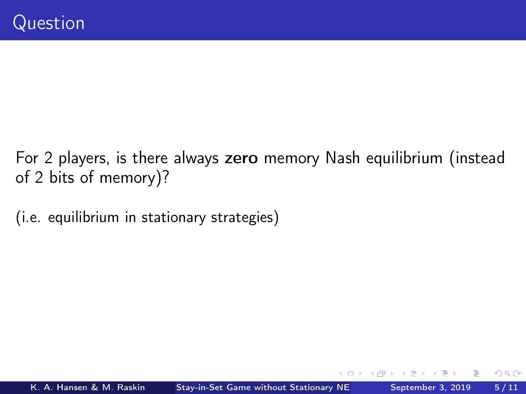- For 2 players, is there always zero memory Nash equilibrium (instead of 2 bits of memory)?
- (i.e. equilibrium in stationary strategies)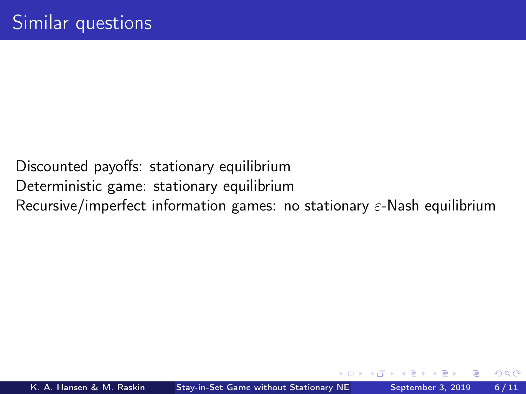Discounted payoffs: stationary equilibrium Deterministic game: stationary equilibrium Recursive/imperfect information games: no stationary  $\varepsilon$ -Nash equilibrium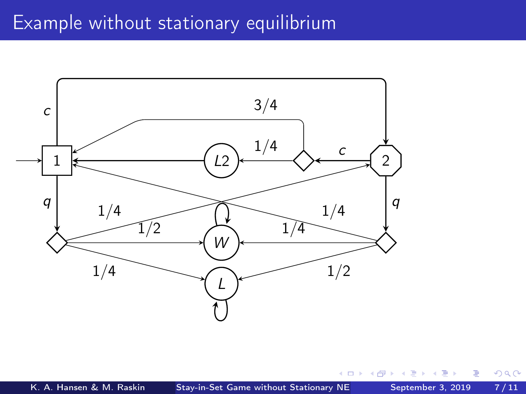## Example without stationary equilibrium



4 0 3

 $299$ 

B

ъ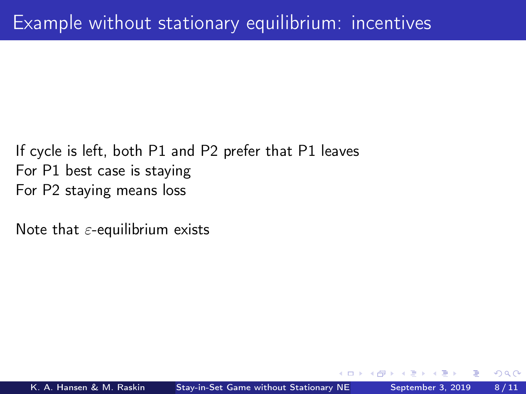## If cycle is left, both P1 and P2 prefer that P1 leaves For P1 best case is staying For P2 staying means loss

Note that  $\varepsilon$ -equilibrium exists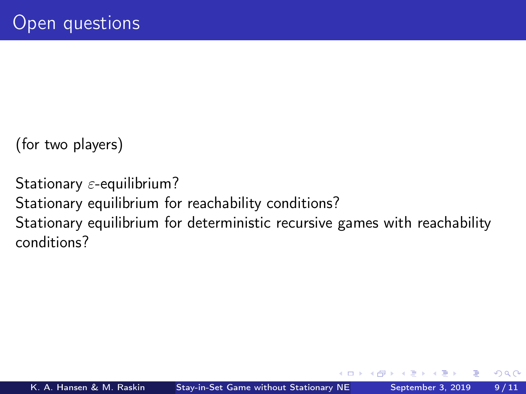(for two players)

Stationary  $\varepsilon$ -equilibrium? Stationary equilibrium for reachability conditions? Stationary equilibrium for deterministic recursive games with reachability conditions?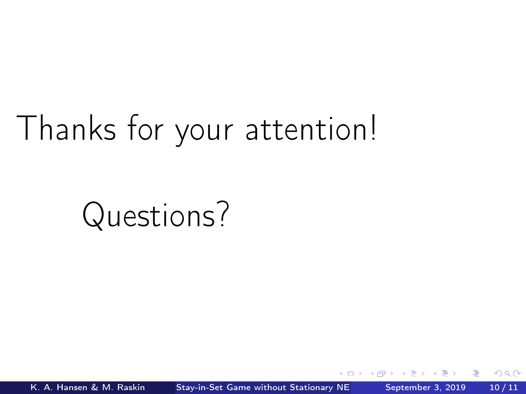## Thanks for your attention!

Questions?

 $200$